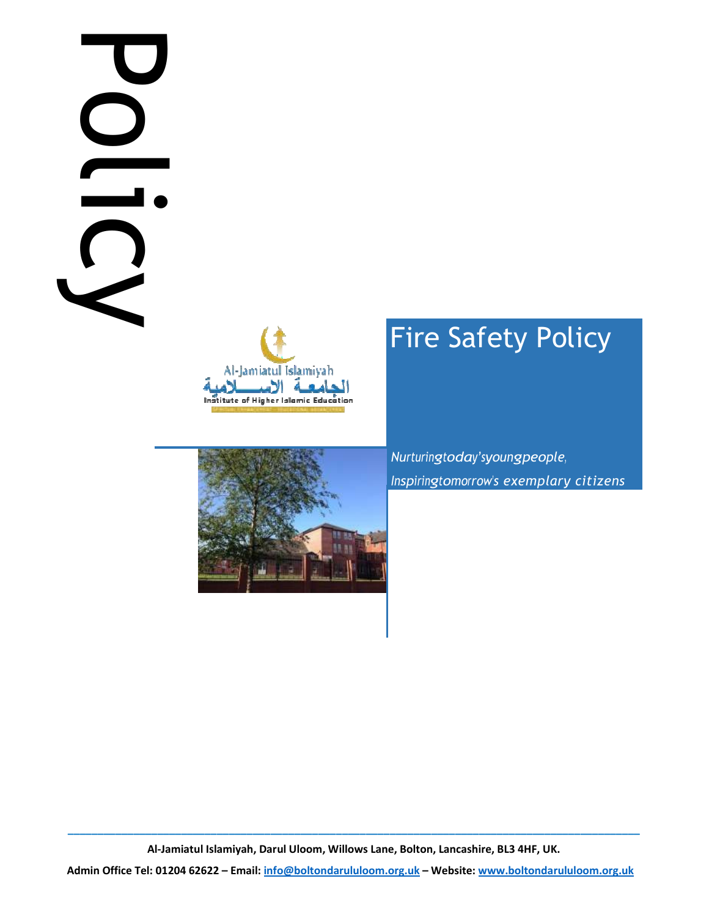# Policy is





# Fire Safety Policy

Nurturingtoday'syoungpeople, Inspiringtomorrow's exemplary citizens

\_\_\_\_\_\_\_\_\_\_\_\_\_\_\_\_\_\_\_\_\_\_\_\_\_\_\_\_\_\_\_\_\_\_\_\_\_\_\_\_\_\_\_\_\_\_\_\_\_\_\_\_\_\_\_\_\_\_\_\_\_\_\_\_\_\_\_\_\_\_\_\_\_\_\_\_\_\_\_\_\_\_\_\_\_\_\_\_\_\_\_\_\_\_\_\_ Al-Jamiatul Islamiyah, Darul Uloom, Willows Lane, Bolton, Lancashire, BL3 4HF, UK.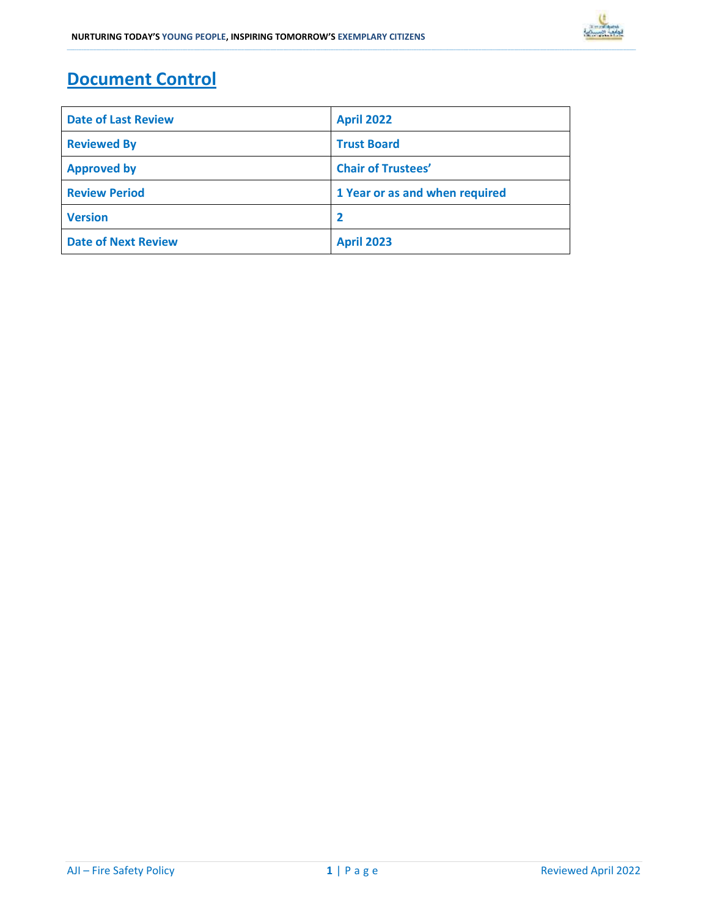# Document Control

| <b>Date of Last Review</b> | <b>April 2022</b>              |  |  |
|----------------------------|--------------------------------|--|--|
| <b>Reviewed By</b>         | <b>Trust Board</b>             |  |  |
| <b>Approved by</b>         | <b>Chair of Trustees'</b>      |  |  |
| <b>Review Period</b>       | 1 Year or as and when required |  |  |
| <b>Version</b>             | $\overline{\mathbf{2}}$        |  |  |
| <b>Date of Next Review</b> | <b>April 2023</b>              |  |  |

\_\_\_\_\_\_\_\_\_\_\_\_\_\_\_\_\_\_\_\_\_\_\_\_\_\_\_\_\_\_\_\_\_\_\_\_\_\_\_\_\_\_\_\_\_\_\_\_\_\_\_\_\_\_\_\_\_\_\_\_\_\_\_\_\_\_\_\_\_\_\_\_\_\_\_\_\_\_\_\_\_\_\_\_\_\_\_\_\_\_\_\_\_\_\_\_\_\_\_\_\_\_\_\_\_\_\_\_\_\_\_\_\_\_\_\_\_\_\_\_\_\_\_\_\_\_\_\_\_\_\_\_\_\_\_\_\_\_\_\_\_\_\_\_\_\_\_\_\_\_\_\_\_\_\_\_\_\_\_\_\_\_\_\_\_\_\_\_\_\_\_\_\_\_\_\_\_\_\_\_\_\_\_\_\_\_\_\_\_\_\_\_\_\_\_\_\_\_\_\_\_\_\_\_\_\_\_\_\_\_\_\_\_\_\_\_\_\_\_\_\_\_\_\_\_\_\_\_\_\_\_\_\_\_\_\_\_\_\_\_\_\_\_\_\_\_\_\_\_\_\_\_\_\_\_\_\_\_\_\_\_\_\_\_\_\_\_\_\_\_\_\_\_\_\_\_\_\_\_\_\_\_\_\_\_\_\_\_\_\_\_\_\_\_\_\_\_\_\_\_\_\_\_\_\_\_\_\_\_\_\_\_\_\_\_\_\_\_\_\_\_\_\_\_\_\_\_\_\_\_\_\_\_\_\_\_\_\_\_\_\_\_\_\_\_\_\_\_\_\_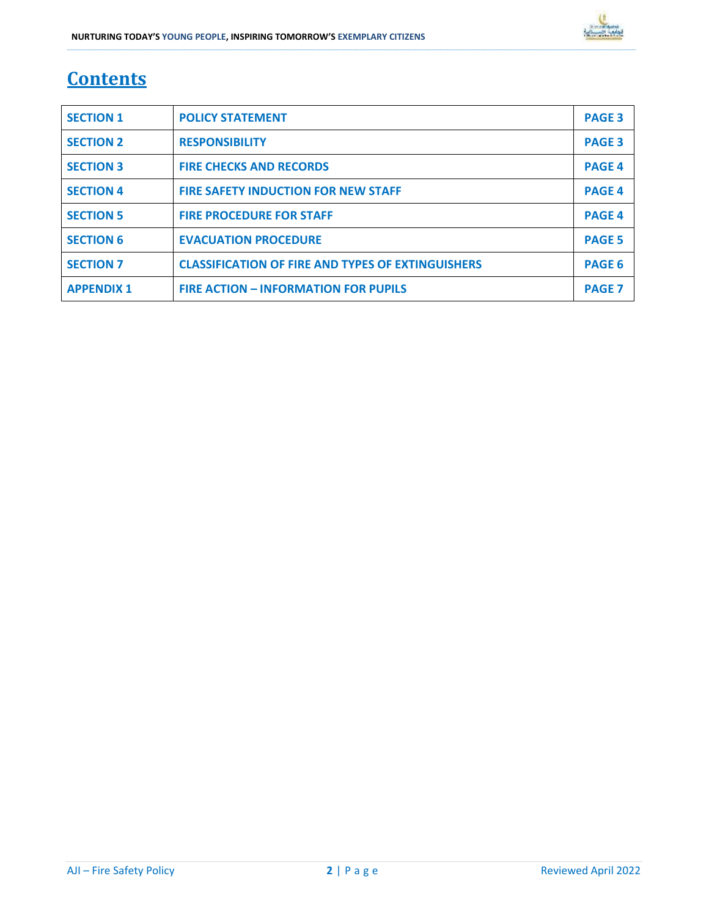# **Contents**

| <b>SECTION 1</b>  | <b>POLICY STATEMENT</b>                                  | <b>PAGE 3</b> |
|-------------------|----------------------------------------------------------|---------------|
| <b>SECTION 2</b>  | <b>RESPONSIBILITY</b>                                    | <b>PAGE 3</b> |
| <b>SECTION 3</b>  | <b>FIRE CHECKS AND RECORDS</b>                           | <b>PAGE 4</b> |
| <b>SECTION 4</b>  | <b>FIRE SAFETY INDUCTION FOR NEW STAFF</b>               | <b>PAGE 4</b> |
| <b>SECTION 5</b>  | <b>FIRE PROCEDURE FOR STAFF</b>                          | <b>PAGE 4</b> |
| <b>SECTION 6</b>  | <b>EVACUATION PROCEDURE</b>                              | <b>PAGE 5</b> |
| <b>SECTION 7</b>  | <b>CLASSIFICATION OF FIRE AND TYPES OF EXTINGUISHERS</b> | <b>PAGE 6</b> |
| <b>APPENDIX 1</b> | <b>FIRE ACTION - INFORMATION FOR PUPILS</b>              | <b>PAGE 7</b> |

\_\_\_\_\_\_\_\_\_\_\_\_\_\_\_\_\_\_\_\_\_\_\_\_\_\_\_\_\_\_\_\_\_\_\_\_\_\_\_\_\_\_\_\_\_\_\_\_\_\_\_\_\_\_\_\_\_\_\_\_\_\_\_\_\_\_\_\_\_\_\_\_\_\_\_\_\_\_\_\_\_\_\_\_\_\_\_\_\_\_\_\_\_\_\_\_\_\_\_\_\_\_\_\_\_\_\_\_\_\_\_\_\_\_\_\_\_\_\_\_\_\_\_\_\_\_\_\_\_\_\_\_\_\_\_\_\_\_\_\_\_\_\_\_\_\_\_\_\_\_\_\_\_\_\_\_\_\_\_\_\_\_\_\_\_\_\_\_\_\_\_\_\_\_\_\_\_\_\_\_\_\_\_\_\_\_\_\_\_\_\_\_\_\_\_\_\_\_\_\_\_\_\_\_\_\_\_\_\_\_\_\_\_\_\_\_\_\_\_\_\_\_\_\_\_\_\_\_\_\_\_\_\_\_\_\_\_\_\_\_\_\_\_\_\_\_\_\_\_\_\_\_\_\_\_\_\_\_\_\_\_\_\_\_\_\_\_\_\_\_\_\_\_\_\_\_\_\_\_\_\_\_\_\_\_\_\_\_\_\_\_\_\_\_\_\_\_\_\_\_\_\_\_\_\_\_\_\_\_\_\_\_\_\_\_\_\_\_\_\_\_\_\_\_\_\_\_\_\_\_\_\_\_\_\_\_\_\_\_\_\_\_\_\_\_\_\_\_\_\_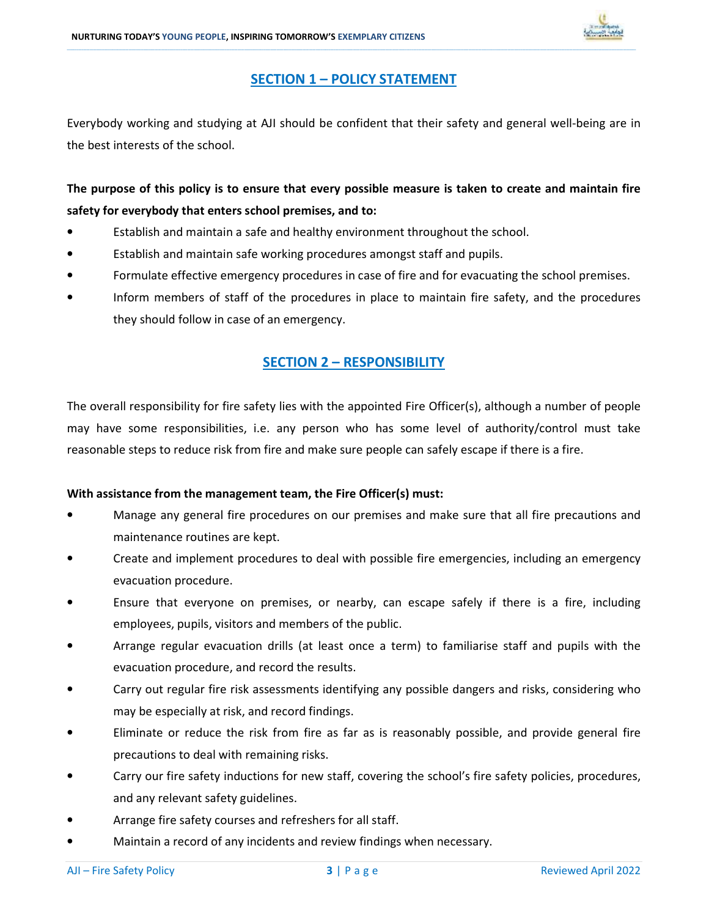

### SECTION 1 – POLICY STATEMENT

\_\_\_\_\_\_\_\_\_\_\_\_\_\_\_\_\_\_\_\_\_\_\_\_\_\_\_\_\_\_\_\_\_\_\_\_\_\_\_\_\_\_\_\_\_\_\_\_\_\_\_\_\_\_\_\_\_\_\_\_\_\_\_\_\_\_\_\_\_\_\_\_\_\_\_\_\_\_\_\_\_\_\_\_\_\_\_\_\_\_\_\_\_\_\_\_\_\_\_\_\_\_\_\_\_\_\_\_\_\_\_\_\_\_\_\_\_\_\_\_\_\_\_\_\_\_\_\_\_\_\_\_\_\_\_\_\_\_\_\_\_\_\_\_\_\_\_\_\_\_\_\_\_\_\_\_\_\_\_\_\_\_\_\_\_\_\_\_\_\_\_\_\_\_\_\_\_\_\_\_\_\_\_\_\_\_\_\_\_\_\_\_\_\_\_\_\_\_\_\_\_\_\_\_\_\_\_\_\_\_\_\_\_\_\_\_\_\_\_\_\_\_\_\_\_\_\_\_\_\_\_\_\_\_\_\_\_\_\_\_\_\_\_\_\_\_\_\_\_\_\_\_\_\_\_\_\_\_\_\_\_\_\_\_\_\_\_\_\_\_\_\_\_\_\_\_\_\_\_\_\_\_\_\_\_\_\_\_\_\_\_\_\_\_\_\_\_\_\_\_\_\_\_\_\_\_\_\_\_\_\_\_\_\_\_\_\_\_\_\_\_\_\_\_\_\_\_\_\_\_\_\_\_\_\_\_\_\_\_\_\_\_\_\_\_\_\_\_\_\_

Everybody working and studying at AJI should be confident that their safety and general well-being are in the best interests of the school.

The purpose of this policy is to ensure that every possible measure is taken to create and maintain fire safety for everybody that enters school premises, and to:

- Establish and maintain a safe and healthy environment throughout the school.
- Establish and maintain safe working procedures amongst staff and pupils.
- Formulate effective emergency procedures in case of fire and for evacuating the school premises.
- Inform members of staff of the procedures in place to maintain fire safety, and the procedures they should follow in case of an emergency.

### SECTION 2 – RESPONSIBILITY

The overall responsibility for fire safety lies with the appointed Fire Officer(s), although a number of people may have some responsibilities, i.e. any person who has some level of authority/control must take reasonable steps to reduce risk from fire and make sure people can safely escape if there is a fire.

### With assistance from the management team, the Fire Officer(s) must:

- Manage any general fire procedures on our premises and make sure that all fire precautions and maintenance routines are kept.
- Create and implement procedures to deal with possible fire emergencies, including an emergency evacuation procedure.
- Ensure that everyone on premises, or nearby, can escape safely if there is a fire, including employees, pupils, visitors and members of the public.
- Arrange regular evacuation drills (at least once a term) to familiarise staff and pupils with the evacuation procedure, and record the results.
- Carry out regular fire risk assessments identifying any possible dangers and risks, considering who may be especially at risk, and record findings.
- Eliminate or reduce the risk from fire as far as is reasonably possible, and provide general fire precautions to deal with remaining risks.
- Carry our fire safety inductions for new staff, covering the school's fire safety policies, procedures, and any relevant safety guidelines.
- Arrange fire safety courses and refreshers for all staff.
- Maintain a record of any incidents and review findings when necessary.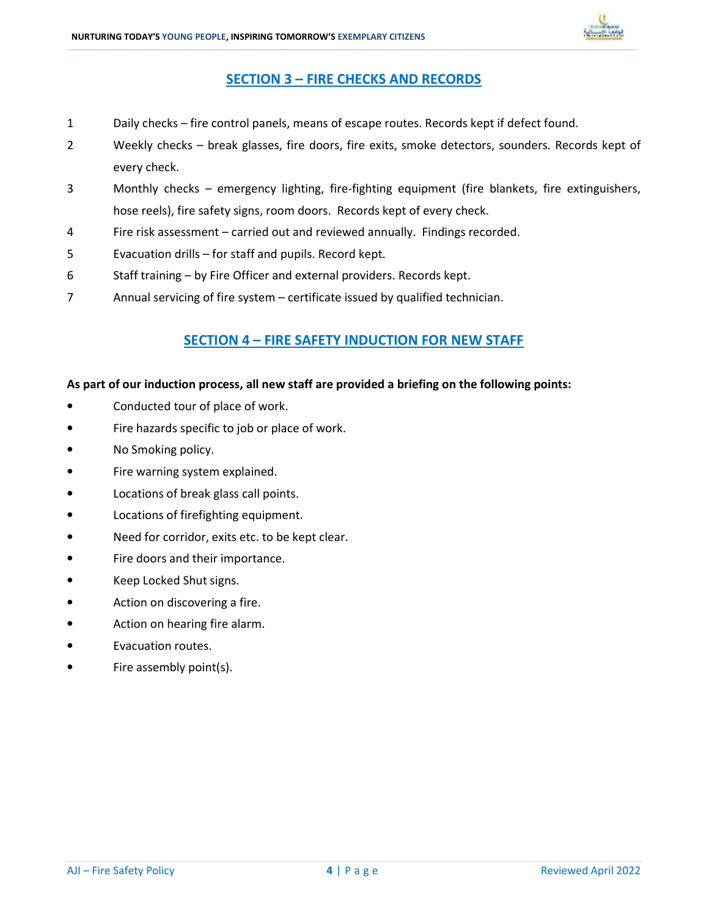

### SECTION 3 – FIRE CHECKS AND RECORDS

\_\_\_\_\_\_\_\_\_\_\_\_\_\_\_\_\_\_\_\_\_\_\_\_\_\_\_\_\_\_\_\_\_\_\_\_\_\_\_\_\_\_\_\_\_\_\_\_\_\_\_\_\_\_\_\_\_\_\_\_\_\_\_\_\_\_\_\_\_\_\_\_\_\_\_\_\_\_\_\_\_\_\_\_\_\_\_\_\_\_\_\_\_\_\_\_\_\_\_\_\_\_\_\_\_\_\_\_\_\_\_\_\_\_\_\_\_\_\_\_\_\_\_\_\_\_\_\_\_\_\_\_\_\_\_\_\_\_\_\_\_\_\_\_\_\_\_\_\_\_\_\_\_\_\_\_\_\_\_\_\_\_\_\_\_\_\_\_\_\_\_\_\_\_\_\_\_\_\_\_\_\_\_\_\_\_\_\_\_\_\_\_\_\_\_\_\_\_\_\_\_\_\_\_\_\_\_\_\_\_\_\_\_\_\_\_\_\_\_\_\_\_\_\_\_\_\_\_\_\_\_\_\_\_\_\_\_\_\_\_\_\_\_\_\_\_\_\_\_\_\_\_\_\_\_\_\_\_\_\_\_\_\_\_\_\_\_\_\_\_\_\_\_\_\_\_\_\_\_\_\_\_\_\_\_\_\_\_\_\_\_\_\_\_\_\_\_\_\_\_\_\_\_\_\_\_\_\_\_\_\_\_\_\_\_\_\_\_\_\_\_\_\_\_\_\_\_\_\_\_\_\_\_\_\_\_\_\_\_\_\_\_\_\_\_\_\_\_\_\_

- 1 Daily checks fire control panels, means of escape routes. Records kept if defect found.
- 2 Weekly checks break glasses, fire doors, fire exits, smoke detectors, sounders. Records kept of every check.
- 3 Monthly checks emergency lighting, fire-fighting equipment (fire blankets, fire extinguishers, hose reels), fire safety signs, room doors. Records kept of every check.
- 4 Fire risk assessment carried out and reviewed annually. Findings recorded.
- 5 Evacuation drills for staff and pupils. Record kept.
- 6 Staff training by Fire Officer and external providers. Records kept.
- 7 Annual servicing of fire system certificate issued by qualified technician.

### SECTION 4 – FIRE SAFETY INDUCTION FOR NEW STAFF

### As part of our induction process, all new staff are provided a briefing on the following points:

- Conducted tour of place of work.
- Fire hazards specific to job or place of work.
- No Smoking policy.
- Fire warning system explained.
- Locations of break glass call points.
- Locations of firefighting equipment.
- Need for corridor, exits etc. to be kept clear.
- Fire doors and their importance.
- Keep Locked Shut signs.
- Action on discovering a fire.
- Action on hearing fire alarm.
- Evacuation routes.
- Fire assembly point(s).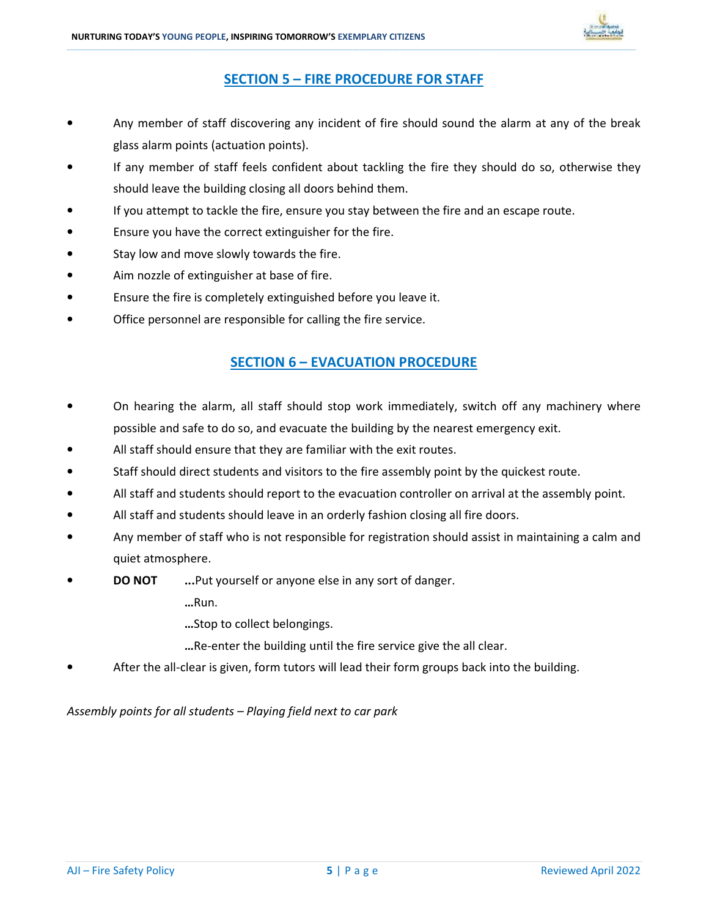

### SECTION 5 – FIRE PROCEDURE FOR STAFF

\_\_\_\_\_\_\_\_\_\_\_\_\_\_\_\_\_\_\_\_\_\_\_\_\_\_\_\_\_\_\_\_\_\_\_\_\_\_\_\_\_\_\_\_\_\_\_\_\_\_\_\_\_\_\_\_\_\_\_\_\_\_\_\_\_\_\_\_\_\_\_\_\_\_\_\_\_\_\_\_\_\_\_\_\_\_\_\_\_\_\_\_\_\_\_\_\_\_\_\_\_\_\_\_\_\_\_\_\_\_\_\_\_\_\_\_\_\_\_\_\_\_\_\_\_\_\_\_\_\_\_\_\_\_\_\_\_\_\_\_\_\_\_\_\_\_\_\_\_\_\_\_\_\_\_\_\_\_\_\_\_\_\_\_\_\_\_\_\_\_\_\_\_\_\_\_\_\_\_\_\_\_\_\_\_\_\_\_\_\_\_\_\_\_\_\_\_\_\_\_\_\_\_\_\_\_\_\_\_\_\_\_\_\_\_\_\_\_\_\_\_\_\_\_\_\_\_\_\_\_\_\_\_\_\_\_\_\_\_\_\_\_\_\_\_\_\_\_\_\_\_\_\_\_\_\_\_\_\_\_\_\_\_\_\_\_\_\_\_\_\_\_\_\_\_\_\_\_\_\_\_\_\_\_\_\_\_\_\_\_\_\_\_\_\_\_\_\_\_\_\_\_\_\_\_\_\_\_\_\_\_\_\_\_\_\_\_\_\_\_\_\_\_\_\_\_\_\_\_\_\_\_\_\_\_\_\_\_\_\_\_\_\_\_\_\_\_\_\_\_

- Any member of staff discovering any incident of fire should sound the alarm at any of the break glass alarm points (actuation points).
- If any member of staff feels confident about tackling the fire they should do so, otherwise they should leave the building closing all doors behind them.
- If you attempt to tackle the fire, ensure you stay between the fire and an escape route.
- Ensure you have the correct extinguisher for the fire.
- Stay low and move slowly towards the fire.
- Aim nozzle of extinguisher at base of fire.
- Ensure the fire is completely extinguished before you leave it.
- Office personnel are responsible for calling the fire service.

### SECTION 6 – EVACUATION PROCEDURE

- On hearing the alarm, all staff should stop work immediately, switch off any machinery where possible and safe to do so, and evacuate the building by the nearest emergency exit.
- All staff should ensure that they are familiar with the exit routes.
- Staff should direct students and visitors to the fire assembly point by the quickest route.
- All staff and students should report to the evacuation controller on arrival at the assembly point.
- All staff and students should leave in an orderly fashion closing all fire doors.
- Any member of staff who is not responsible for registration should assist in maintaining a calm and quiet atmosphere.
- **DO NOT** ...Put yourself or anyone else in any sort of danger.

…Run.

…Stop to collect belongings.

- …Re-enter the building until the fire service give the all clear.
- After the all-clear is given, form tutors will lead their form groups back into the building.

Assembly points for all students – Playing field next to car park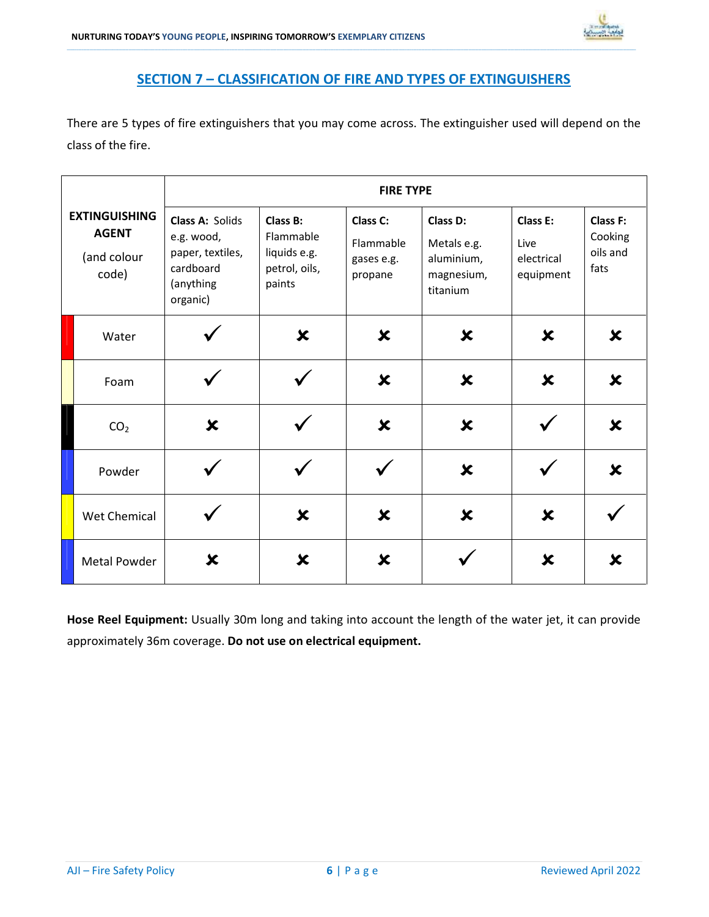### SECTION 7 – CLASSIFICATION OF FIRE AND TYPES OF EXTINGUISHERS

\_\_\_\_\_\_\_\_\_\_\_\_\_\_\_\_\_\_\_\_\_\_\_\_\_\_\_\_\_\_\_\_\_\_\_\_\_\_\_\_\_\_\_\_\_\_\_\_\_\_\_\_\_\_\_\_\_\_\_\_\_\_\_\_\_\_\_\_\_\_\_\_\_\_\_\_\_\_\_\_\_\_\_\_\_\_\_\_\_\_\_\_\_\_\_\_\_\_\_\_\_\_\_\_\_\_\_\_\_\_\_\_\_\_\_\_\_\_\_\_\_\_\_\_\_\_\_\_\_\_\_\_\_\_\_\_\_\_\_\_\_\_\_\_\_\_\_\_\_\_\_\_\_\_\_\_\_\_\_\_\_\_\_\_\_\_\_\_\_\_\_\_\_\_\_\_\_\_\_\_\_\_\_\_\_\_\_\_\_\_\_\_\_\_\_\_\_\_\_\_\_\_\_\_\_\_\_\_\_\_\_\_\_\_\_\_\_\_\_\_\_\_\_\_\_\_\_\_\_\_\_\_\_\_\_\_\_\_\_\_\_\_\_\_\_\_\_\_\_\_\_\_\_\_\_\_\_\_\_\_\_\_\_\_\_\_\_\_\_\_\_\_\_\_\_\_\_\_\_\_\_\_\_\_\_\_\_\_\_\_\_\_\_\_\_\_\_\_\_\_\_\_\_\_\_\_\_\_\_\_\_\_\_\_\_\_\_\_\_\_\_\_\_\_\_\_\_\_\_\_\_\_\_\_\_\_\_\_\_\_\_\_\_\_\_\_\_\_\_\_

There are 5 types of fire extinguishers that you may come across. The extinguisher used will depend on the class of the fire.

|                                                              | <b>FIRE TYPE</b>                                                                        |                                                                  |                                                |                                                                 |                                             |                                                |  |
|--------------------------------------------------------------|-----------------------------------------------------------------------------------------|------------------------------------------------------------------|------------------------------------------------|-----------------------------------------------------------------|---------------------------------------------|------------------------------------------------|--|
| <b>EXTINGUISHING</b><br><b>AGENT</b><br>(and colour<br>code) | Class A: Solids<br>e.g. wood,<br>paper, textiles,<br>cardboard<br>(anything<br>organic) | Class B:<br>Flammable<br>liquids e.g.<br>petrol, oils,<br>paints | Class C:<br>Flammable<br>gases e.g.<br>propane | Class D:<br>Metals e.g.<br>aluminium,<br>magnesium,<br>titanium | Class E:<br>Live<br>electrical<br>equipment | <b>Class F:</b><br>Cooking<br>oils and<br>fats |  |
| Water                                                        |                                                                                         | $\boldsymbol{\mathsf{x}}$                                        | X                                              | $\boldsymbol{\mathsf{x}}$                                       | X                                           | X                                              |  |
| Foam                                                         |                                                                                         |                                                                  | $\boldsymbol{\mathsf{x}}$                      | $\boldsymbol{\mathsf{x}}$                                       | ×                                           | $\boldsymbol{\mathsf{x}}$                      |  |
| CO <sub>2</sub>                                              | $\boldsymbol{\mathsf{x}}$                                                               |                                                                  | ×                                              | $\boldsymbol{\mathsf{x}}$                                       |                                             | $\boldsymbol{\mathsf{x}}$                      |  |
| Powder                                                       |                                                                                         |                                                                  |                                                | $\boldsymbol{\mathsf{x}}$                                       |                                             | $\boldsymbol{\mathsf{x}}$                      |  |
| <b>Wet Chemical</b>                                          |                                                                                         | ×                                                                | X                                              | $\boldsymbol{\mathsf{x}}$                                       | X                                           |                                                |  |
| <b>Metal Powder</b>                                          | X                                                                                       | $\boldsymbol{\mathsf{x}}$                                        | $\boldsymbol{\mathsf{x}}$                      |                                                                 | $\boldsymbol{\mathsf{x}}$                   | X                                              |  |

Hose Reel Equipment: Usually 30m long and taking into account the length of the water jet, it can provide approximately 36m coverage. Do not use on electrical equipment.